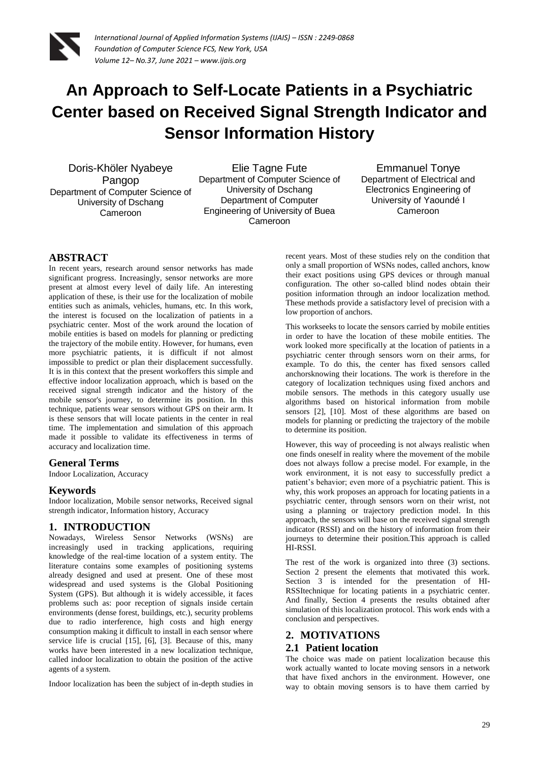

# **An Approach to Self-Locate Patients in a Psychiatric Center based on Received Signal Strength Indicator and Sensor Information History**

Doris-Khöler Nyabeye Pangop Department of Computer Science of University of Dschang Cameroon

Elie Tagne Fute Department of Computer Science of University of Dschang Department of Computer Engineering of University of Buea Cameroon

Emmanuel Tonye Department of Electrical and Electronics Engineering of University of Yaoundé I Cameroon

# **ABSTRACT**

In recent years, research around sensor networks has made significant progress. Increasingly, sensor networks are more present at almost every level of daily life. An interesting application of these, is their use for the localization of mobile entities such as animals, vehicles, humans, etc. In this work, the interest is focused on the localization of patients in a psychiatric center. Most of the work around the location of mobile entities is based on models for planning or predicting the trajectory of the mobile entity. However, for humans, even more psychiatric patients, it is difficult if not almost impossible to predict or plan their displacement successfully. It is in this context that the present workoffers this simple and effective indoor localization approach, which is based on the received signal strength indicator and the history of the mobile sensor's journey, to determine its position. In this technique, patients wear sensors without GPS on their arm. It is these sensors that will locate patients in the center in real time. The implementation and simulation of this approach made it possible to validate its effectiveness in terms of accuracy and localization time.

#### **General Terms**

Indoor Localization, Accuracy

#### **Keywords**

Indoor localization, Mobile sensor networks, Received signal strength indicator, Information history, Accuracy

# **1. INTRODUCTION**

Nowadays, Wireless Sensor Networks (WSNs) are increasingly used in tracking applications, requiring knowledge of the real-time location of a system entity. The literature contains some examples of positioning systems already designed and used at present. One of these most widespread and used systems is the Global Positioning System (GPS). But although it is widely accessible, it faces problems such as: poor reception of signals inside certain environments (dense forest, buildings, etc.), security problems due to radio interference, high costs and high energy consumption making it difficult to install in each sensor where service life is crucial [15], [6], [3]. Because of this, many works have been interested in a new localization technique, called indoor localization to obtain the position of the active agents of a system.

Indoor localization has been the subject of in-depth studies in

recent years. Most of these studies rely on the condition that only a small proportion of WSNs nodes, called anchors, know their exact positions using GPS devices or through manual configuration. The other so-called blind nodes obtain their position information through an indoor localization method. These methods provide a satisfactory level of precision with a low proportion of anchors.

This workseeks to locate the sensors carried by mobile entities in order to have the location of these mobile entities. The work looked more specifically at the location of patients in a psychiatric center through sensors worn on their arms, for example. To do this, the center has fixed sensors called anchorsknowing their locations. The work is therefore in the category of localization techniques using fixed anchors and mobile sensors. The methods in this category usually use algorithms based on historical information from mobile sensors [2], [10]. Most of these algorithms are based on models for planning or predicting the trajectory of the mobile to determine its position.

However, this way of proceeding is not always realistic when one finds oneself in reality where the movement of the mobile does not always follow a precise model. For example, in the work environment, it is not easy to successfully predict a patient's behavior; even more of a psychiatric patient. This is why, this work proposes an approach for locating patients in a psychiatric center, through sensors worn on their wrist, not using a planning or trajectory prediction model. In this approach, the sensors will base on the received signal strength indicator (RSSI) and on the history of information from their journeys to determine their position.This approach is called HI-RSSI.

The rest of the work is organized into three (3) sections. Section 2 present the elements that motivated this work. Section 3 is intended for the presentation of HI-RSSItechnique for locating patients in a psychiatric center. And finally, Section 4 presents the results obtained after simulation of this localization protocol. This work ends with a conclusion and perspectives.

# **2. MOTIVATIONS**

## **2.1 Patient location**

The choice was made on patient localization because this work actually wanted to locate moving sensors in a network that have fixed anchors in the environment. However, one way to obtain moving sensors is to have them carried by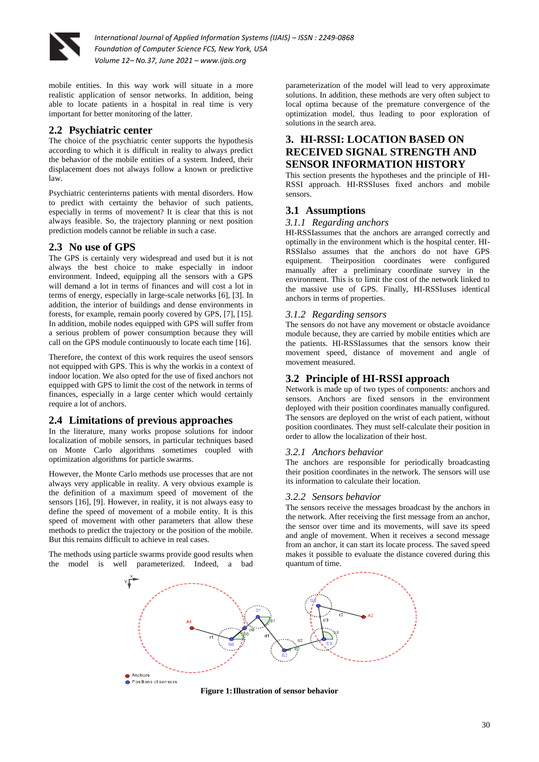

mobile entities. In this way work will situate in a more realistic application of sensor networks. In addition, being able to locate patients in a hospital in real time is very important for better monitoring of the latter.

# **2.2 Psychiatric center**

The choice of the psychiatric center supports the hypothesis according to which it is difficult in reality to always predict the behavior of the mobile entities of a system. Indeed, their displacement does not always follow a known or predictive law.

Psychiatric centerinterns patients with mental disorders. How to predict with certainty the behavior of such patients, especially in terms of movement? It is clear that this is not always feasible. So, the trajectory planning or next position prediction models cannot be reliable in such a case.

# **2.3 No use of GPS**

The GPS is certainly very widespread and used but it is not always the best choice to make especially in indoor environment. Indeed, equipping all the sensors with a GPS will demand a lot in terms of finances and will cost a lot in terms of energy, especially in large-scale networks [6], [3]. In addition, the interior of buildings and dense environments in forests, for example, remain poorly covered by GPS, [7], [15]. In addition, mobile nodes equipped with GPS will suffer from a serious problem of power consumption because they will call on the GPS module continuously to locate each time [16].

Therefore, the context of this work requires the useof sensors not equipped with GPS. This is why the workis in a context of indoor location. We also opted for the use of fixed anchors not equipped with GPS to limit the cost of the network in terms of finances, especially in a large center which would certainly require a lot of anchors.

# **2.4 Limitations of previous approaches**

In the literature, many works propose solutions for indoor localization of mobile sensors, in particular techniques based on Monte Carlo algorithms sometimes coupled with optimization algorithms for particle swarms.

However, the Monte Carlo methods use processes that are not always very applicable in reality. A very obvious example is the definition of a maximum speed of movement of the sensors [16], [9]. However, in reality, it is not always easy to define the speed of movement of a mobile entity. It is this speed of movement with other parameters that allow these methods to predict the trajectory or the position of the mobile. But this remains difficult to achieve in real cases.

The methods using particle swarms provide good results when the model is well parameterized. Indeed, a bad

parameterization of the model will lead to very approximate solutions. In addition, these methods are very often subject to local optima because of the premature convergence of the optimization model, thus leading to poor exploration of solutions in the search area.

# **3. HI-RSSI: LOCATION BASED ON RECEIVED SIGNAL STRENGTH AND SENSOR INFORMATION HISTORY**

This section presents the hypotheses and the principle of HI-RSSI approach. HI-RSSIuses fixed anchors and mobile sensors.

# **3.1 Assumptions**

## *3.1.1 Regarding anchors*

HI-RSSIassumes that the anchors are arranged correctly and optimally in the environment which is the hospital center. HI-RSSIalso assumes that the anchors do not have GPS equipment. Theirposition coordinates were configured manually after a preliminary coordinate survey in the environment. This is to limit the cost of the network linked to the massive use of GPS. Finally, HI-RSSIuses identical anchors in terms of properties.

# *3.1.2 Regarding sensors*

The sensors do not have any movement or obstacle avoidance module because, they are carried by mobile entities which are the patients. HI-RSSIassumes that the sensors know their movement speed, distance of movement and angle of movement measured.

# **3.2 Principle of HI-RSSI approach**

Network is made up of two types of components: anchors and sensors. Anchors are fixed sensors in the environment deployed with their position coordinates manually configured. The sensors are deployed on the wrist of each patient, without position coordinates. They must self-calculate their position in order to allow the localization of their host.

# *3.2.1 Anchors behavior*

The anchors are responsible for periodically broadcasting their position coordinates in the network. The sensors will use its information to calculate their location.

# *3.2.2 Sensors behavior*

The sensors receive the messages broadcast by the anchors in the network. After receiving the first message from an anchor, the sensor over time and its movements, will save its speed and angle of movement. When it receives a second message from an anchor, it can start its locate process. The saved speed makes it possible to evaluate the distance covered during this quantum of time.



**Figure 1:Illustration of sensor behavior**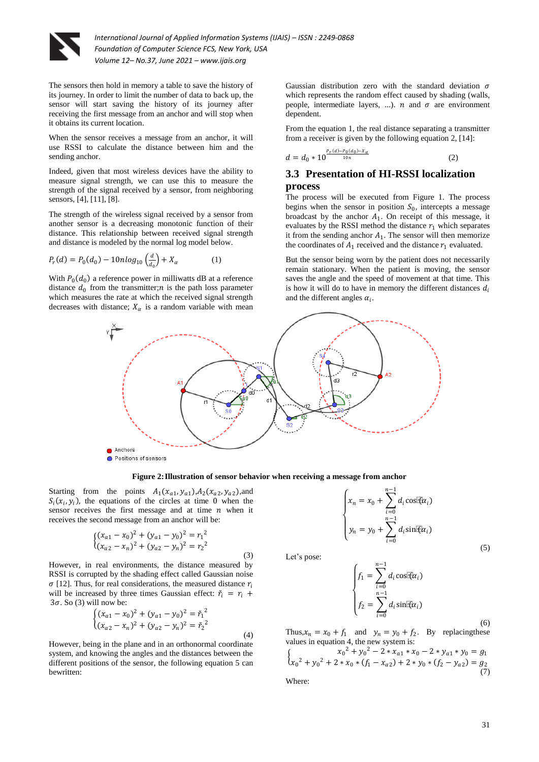

The sensors then hold in memory a table to save the history of its journey. In order to limit the number of data to back up, the sensor will start saving the history of its journey after receiving the first message from an anchor and will stop when it obtains its current location.

When the sensor receives a message from an anchor, it will use RSSI to calculate the distance between him and the sending anchor.

Indeed, given that most wireless devices have the ability to measure signal strength, we can use this to measure the strength of the signal received by a sensor, from neighboring sensors, [4], [11], [8].

The strength of the wireless signal received by a sensor from another sensor is a decreasing monotonic function of their distance. This relationship between received signal strength and distance is modeled by the normal log model below.

$$
P_r(d) = P_0(d_0) - 10n \log_{10} \left(\frac{d}{d_0}\right) + X_\alpha \tag{1}
$$

With  $P_0(d_0)$  a reference power in milliwatts dB at a reference distance  $d_0$  from the transmitter; *n* is the path loss parameter which measures the rate at which the received signal strength decreases with distance;  $X_{\alpha}$  is a random variable with mean

Gaussian distribution zero with the standard deviation  $\sigma$ which represents the random effect caused by shading (walls, people, intermediate layers, ...).  $n$  and  $\sigma$  are environment dependent.

From the equation 1, the real distance separating a transmitter from a receiver is given by the following equation 2, [14]:

$$
d = d_0 * 10^{\frac{P_r(d) - P_0(d_0) - X_\alpha}{10n}} \tag{2}
$$

## **3.3 Presentation of HI-RSSI localization process**

The process will be executed from Figure 1. The process begins when the sensor in position  $S_0$ , intercepts a message broadcast by the anchor  $A_1$ . On receipt of this message, it evaluates by the RSSI method the distance  $r_1$  which separates it from the sending anchor  $A_1$ . The sensor will then memorize the coordinates of  $A_1$  received and the distance  $r_1$  evaluated.

But the sensor being worn by the patient does not necessarily remain stationary. When the patient is moving, the sensor saves the angle and the speed of movement at that time. This is how it will do to have in memory the different distances  $d_i$ and the different angles  $\alpha_i$ .



#### **Figure 2:Illustration of sensor behavior when receiving a message from anchor**

(3)

(4)

Starting from the points  $A_1(x_{a1}, y_{a1})$ ,  $A_2(x_{a2}, y_{a2})$ , and  $S_i(x_i, y_i)$ , the equations of the circles at time 0 when the sensor receives the first message and at time  $n$  when it receives the second message from an anchor will be:

$$
\begin{cases} (x_{a1} - x_0)^2 + (y_{a1} - y_0)^2 = r_1^2\\ (x_{a2} - x_n)^2 + (y_{a2} - y_n)^2 = r_2^2 \end{cases}
$$

However, in real environments, the distance measured by RSSI is corrupted by the shading effect called Gaussian noise  $\sigma$  [12]. Thus, for real considerations, the measured distance  $r_i$ will be increased by three times Gaussian effect:  $\check{r}_i = r_i +$  $3\sigma$ . So (3) will now be:

$$
\begin{cases} (x_{a1} - x_0)^2 + (y_{a1} - y_0)^2 = \check{r}_1^2 \\ (x_{a2} - x_n)^2 + (y_{a2} - y_n)^2 = \check{r}_2^2 \end{cases}
$$

However, being in the plane and in an orthonormal coordinate system, and knowing the angles and the distances between the different positions of the sensor, the following equation 5 can bewritten:

$$
\begin{cases} x_n = x_0 + \sum_{i=0}^{n-1} d_i \cos[\tilde{c}a_i] \\ y_n = y_0 + \sum_{i=0}^{n-1} d_i \sin[\tilde{c}a_i] \end{cases}
$$

Let's pose:

$$
\begin{cases}\nf_1 = \sum_{i=0}^{n-1} d_i \cos(\alpha_i) \\
f_2 = \sum_{i=0}^{n-1} d_i \sin(\alpha_i)\n\end{cases}
$$

Thus,  $x_n = x_0 + f_1$  and  $y_n = y_0 + f_2$ . By replacing these values in equation 4, the new system is:

$$
\begin{cases}\nx_0^2 + y_0^2 - 2 * x_{a1} * x_0 - 2 * y_{a1} * y_0 = g_1 \\
x_0^2 + y_0^2 + 2 * x_0 * (f_1 - x_{a2}) + 2 * y_0 * (f_2 - y_{a2}) = g_2\n\end{cases}
$$
\nWhere:

Where:

31

(5)

 $(6)$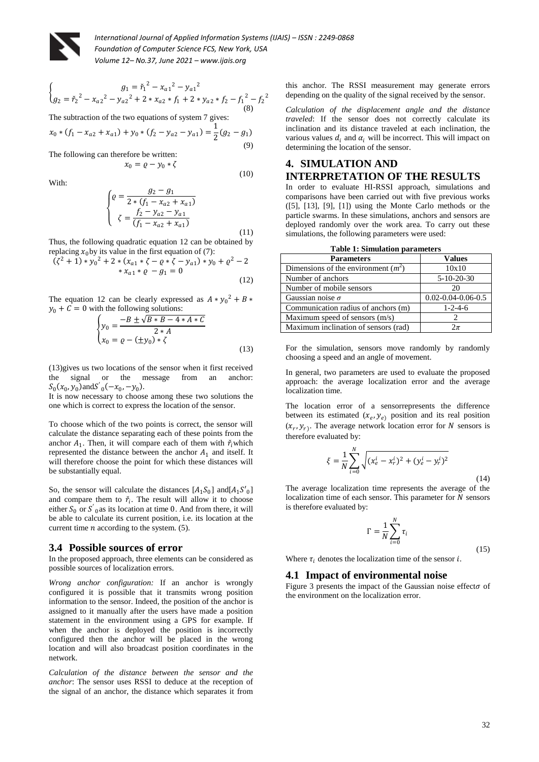

(11)

$$
\begin{cases}\n g_1 = \check{r}_1^2 - x_{a1}^2 - y_{a1}^2 \\
 g_2 = \check{r}_2^2 - x_{a2}^2 - y_{a2}^2 + 2 * x_{a2} * f_1 + 2 * y_{a2} * f_2 - f_1^2 - f_2^2\n\end{cases}
$$
\n(8)

The subtraction of the two equations of system 7 gives:

$$
x_0 * (f_1 - x_{a2} + x_{a1}) + y_0 * (f_2 - y_{a2} - y_{a1}) = \frac{1}{2}(g_2 - g_1)
$$
\n(9)

The following can therefore be written:

$$
x_0 = \varrho - y_0 * \zeta \tag{10}
$$

With:

$$
\begin{cases} \n\varrho = \frac{g_2 - g_1}{2 * (f_1 - x_{a2} + x_{a1})} \\ \n\zeta = \frac{f_2 - y_{a2} - y_{a1}}{(f_1 - x_{a2} + x_{a1})} \n\end{cases}
$$

Thus, the following quadratic equation 12 can be obtained by replacing  $x_0$  by its value in the first equation of (7):

$$
(\zeta^2 + 1) * y_0^2 + 2 * (x_{a1} * \zeta - \varrho * \zeta - y_{a1}) * y_0 + \varrho^2 - 2
$$
  
 
$$
* x_{a1} * \varrho - g_1 = 0
$$
  
(12)

The equation 12 can be clearly expressed as  $A * y_0^2 + B *$  $y_0 + C = 0$  with the following solutions:

$$
\begin{cases}\ny_0 = \frac{-B \pm \sqrt{B*B - 4*A*C}}{2*A} \\
x_0 = \varrho - (\pm y_0) * \zeta\n\end{cases}
$$
\n(13)

(13)gives us two locations of the sensor when it first received the signal or the message from an anchor:  $S_0(x_0, y_0)$  and  $S'_{0}(-x_0, -y_0)$ .

It is now necessary to choose among these two solutions the one which is correct to express the location of the sensor.

To choose which of the two points is correct, the sensor will calculate the distance separating each of these points from the anchor  $A_1$ . Then, it will compare each of them with  $\check{r}_i$  which represented the distance between the anchor  $A_1$  and itself. It will therefore choose the point for which these distances will be substantially equal.

So, the sensor will calculate the distances  $[A_1S_0]$  and  $[A_1S'_0]$ and compare them to  $\check{r}_i$ . The result will allow it to choose either  $S_0$  or  $S'$  as its location at time 0. And from there, it will be able to calculate its current position, i.e. its location at the current time  $n$  according to the system. (5).

#### **3.4 Possible sources of error**

In the proposed approach, three elements can be considered as possible sources of localization errors.

*Wrong anchor configuration:* If an anchor is wrongly configured it is possible that it transmits wrong position information to the sensor. Indeed, the position of the anchor is assigned to it manually after the users have made a position statement in the environment using a GPS for example. If when the anchor is deployed the position is incorrectly configured then the anchor will be placed in the wrong location and will also broadcast position coordinates in the network.

*Calculation of the distance between the sensor and the anchor*: The sensor uses RSSI to deduce at the reception of the signal of an anchor, the distance which separates it from

this anchor. The RSSI measurement may generate errors depending on the quality of the signal received by the sensor.

*Calculation of the displacement angle and the distance traveled*: If the sensor does not correctly calculate its inclination and its distance traveled at each inclination, the various values  $d_i$  and  $\alpha_i$  will be incorrect. This will impact on determining the location of the sensor.

# **4. SIMULATION AND INTERPRETATION OF THE RESULTS**

In order to evaluate HI-RSSI approach, simulations and comparisons have been carried out with five previous works ([5], [13], [9], [1]) using the Monte Carlo methods or the particle swarms. In these simulations, anchors and sensors are deployed randomly over the work area. To carry out these simulations, the following parameters were used:

| ruon 1. omnumuon purumeens            |                            |  |
|---------------------------------------|----------------------------|--|
| <b>Parameters</b>                     | <b>Values</b>              |  |
| Dimensions of the environment $(m^2)$ | 10x10                      |  |
| Number of anchors                     | $5 - 10 - 20 - 30$         |  |
| Number of mobile sensors              | 20                         |  |
| Gaussian noise $\sigma$               | $0.02 - 0.04 - 0.06 - 0.5$ |  |
| Communication radius of anchors (m)   | $1 - 2 - 4 - 6$            |  |
| Maximum speed of sensors (m/s)        |                            |  |
| Maximum inclination of sensors (rad)  | $2\pi$                     |  |
|                                       |                            |  |

|  |  |  | <b>Table 1: Simulation parameters</b> |
|--|--|--|---------------------------------------|
|--|--|--|---------------------------------------|

For the simulation, sensors move randomly by randomly choosing a speed and an angle of movement.

In general, two parameters are used to evaluate the proposed approach: the average localization error and the average localization time.

The location error of a sensorrepresents the difference between its estimated  $(x_e, y_e)$  position and its real position  $(x_r, y_r)$ . The average network location error for N sensors is therefore evaluated by:

$$
\xi = \frac{1}{N} \sum_{i=0}^{N} \sqrt{(x_e^i - x_r^i)^2 + (y_e^i - y_r^i)^2}
$$

(14) The average localization time represents the average of the localization time of each sensor. This parameter for  $N$  sensors is therefore evaluated by:

$$
\Gamma = \frac{1}{N} \sum_{i=0}^{N} \tau_i
$$
\n(15)

Where  $\tau_i$  denotes the localization time of the sensor *i*.

#### **4.1 Impact of environmental noise**

Figure 3 presents the impact of the Gaussian noise effect  $\sigma$  of the environment on the localization error.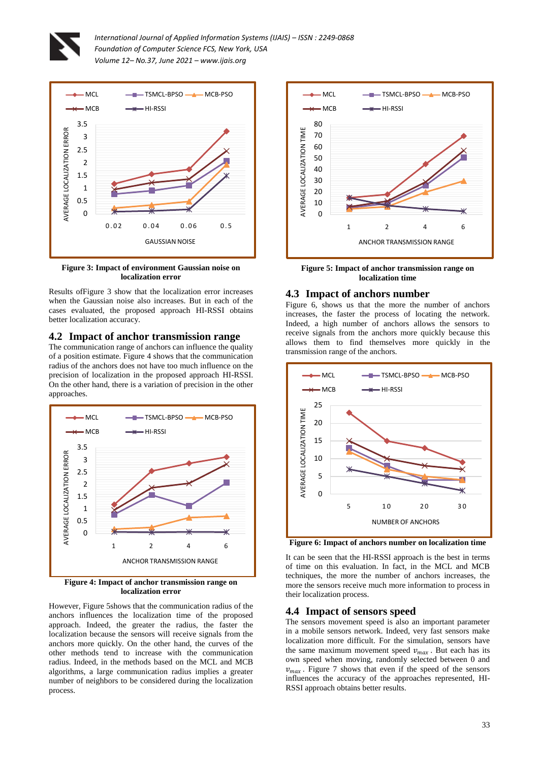



**Figure 3: Impact of environment Gaussian noise on localization error**

Results ofFigure 3 show that the localization error increases when the Gaussian noise also increases. But in each of the cases evaluated, the proposed approach HI-RSSI obtains better localization accuracy.

#### **4.2 Impact of anchor transmission range**

The communication range of anchors can influence the quality of a position estimate. Figure 4 shows that the communication radius of the anchors does not have too much influence on the precision of localization in the proposed approach HI-RSSI. On the other hand, there is a variation of precision in the other approaches.



**Figure 4: Impact of anchor transmission range on localization error**

However, Figure 5shows that the communication radius of the anchors influences the localization time of the proposed approach. Indeed, the greater the radius, the faster the localization because the sensors will receive signals from the anchors more quickly. On the other hand, the curves of the other methods tend to increase with the communication radius. Indeed, in the methods based on the MCL and MCB algorithms, a large communication radius implies a greater number of neighbors to be considered during the localization process.



**Figure 5: Impact of anchor transmission range on localization time**

#### **4.3 Impact of anchors number**

Figure 6, shows us that the more the number of anchors increases, the faster the process of locating the network. Indeed, a high number of anchors allows the sensors to receive signals from the anchors more quickly because this allows them to find themselves more quickly in the transmission range of the anchors.



**Figure 6: Impact of anchors number on localization time**

It can be seen that the HI-RSSI approach is the best in terms of time on this evaluation. In fact, in the MCL and MCB techniques, the more the number of anchors increases, the more the sensors receive much more information to process in their localization process.

# **4.4 Impact of sensors speed**

The sensors movement speed is also an important parameter in a mobile sensors network. Indeed, very fast sensors make localization more difficult. For the simulation, sensors have the same maximum movement speed  $v_{max}$ . But each has its own speed when moving, randomly selected between 0 and  $v_{max}$ . Figure 7 shows that even if the speed of the sensors influences the accuracy of the approaches represented, HI-RSSI approach obtains better results.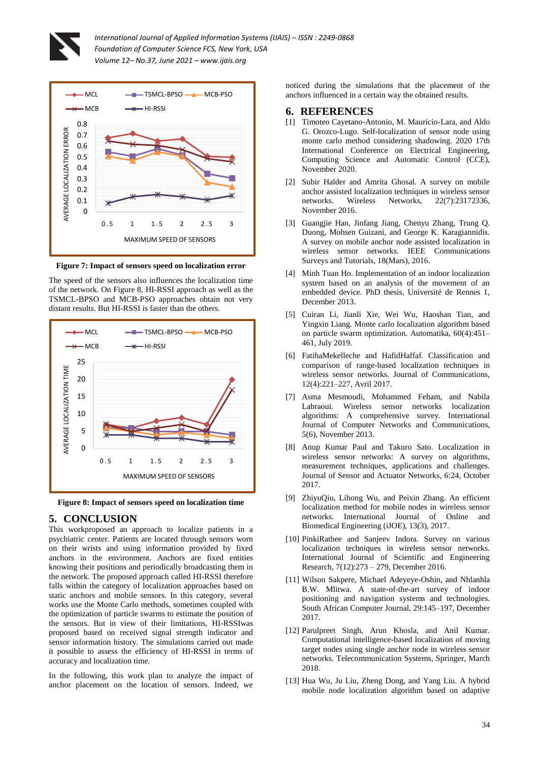



**Figure 7: Impact of sensors speed on localization error**

The speed of the sensors also influences the localization time of the network. On Figure 8, HI-RSSI approach as well as the TSMCL-BPSO and MCB-PSO approaches obtain not very distant results. But HI-RSSI is faster than the others.



**Figure 8: Impact of sensors speed on localization time**

# **5. CONCLUSION**

This workproposed an approach to localize patients in a psychiatric center. Patients are located through sensors worn on their wrists and using information provided by fixed anchors in the environment. Anchors are fixed entities knowing their positions and periodically broadcasting them in the network. The proposed approach called HI-RSSI therefore falls within the category of localization approaches based on static anchors and mobile sensors. In this category, several works use the Monte Carlo methods, sometimes coupled with the optimization of particle swarms to estimate the position of the sensors. But in view of their limitations, HI-RSSIwas proposed based on received signal strength indicator and sensor information history. The simulations carried out made it possible to assess the efficiency of HI-RSSI in terms of accuracy and localization time.

In the following, this work plan to analyze the impact of anchor placement on the location of sensors. Indeed, we

noticed during the simulations that the placement of the anchors influenced in a certain way the obtained results.

#### **6. REFERENCES**

- [1] Timoteo Cayetano-Antonio, M. Mauricio-Lara, and Aldo G. Orozco-Lugo. Self-localization of sensor node using monte carlo method considering shadowing. 2020 17th International Conference on Electrical Engineering, Computing Science and Automatic Control (CCE), November 2020.
- [2] Subir Halder and Amrita Ghosal. A survey on mobile anchor assisted localization techniques in wireless sensor networks. Wireless Networks, 22(7):23172336, November 2016.
- [3] Guangjie Han, Jinfang Jiang, Chenyu Zhang, Trung Q. Duong, Mohsen Guizani, and George K. Karagiannidis. A survey on mobile anchor node assisted localization in wireless sensor networks. IEEE Communications Surveys and Tutorials, 18(Mars), 2016.
- [4] Minh Tuan Ho. Implementation of an indoor localization system based on an analysis of the movement of an embedded device. PhD thesis, Université de Rennes 1, December 2013.
- [5] Cuiran Li, Jianli Xie, Wei Wu, Haoshan Tian, and Yingxin Liang. Monte carlo localization algorithm based on particle swarm optimization. Automatika, 60(4):451– 461, July 2019.
- [6] FatihaMekelleche and HafidHaffaf. Classification and comparison of range-based localization techniques in wireless sensor networks. Journal of Communications, 12(4):221–227, Avril 2017.
- [7] Asma Mesmoudi, Mohammed Feham, and Nabila Labraoui. Wireless sensor networks localization algorithms: A comprehensive survey. International Journal of Computer Networks and Communications, 5(6), November 2013.
- [8] Anup Kumar Paul and Takuro Sato. Localization in wireless sensor networks: A survey on algorithms, measurement techniques, applications and challenges. Journal of Sensor and Actuator Networks, 6:24, October 2017.
- [9] ZhiyuQiu, Lihong Wu, and Peixin Zhang. An efficient localization method for mobile nodes in wireless sensor networks. International Journal of Online and Biomedical Engineering (iJOE), 13(3), 2017.
- [10] PinkiRathee and Sanjeev Indora. Survey on various localization techniques in wireless sensor networks. International Journal of Scientific and Engineering Research, 7(12):273 – 279, December 2016.
- [11] Wilson Sakpere, Michael Adeyeye-Oshin, and Nhlanhla B.W. Mlitwa. A state-of-the-art survey of indoor positioning and navigation systems and technologies. South African Computer Journal, 29:145–197, December 2017.
- [12] Parulpreet Singh, Arun Khosla, and Anil Kumar. Computational intelligence-based localization of moving target nodes using single anchor node in wireless sensor networks. Telecommunication Systems, Springer, March 2018.
- [13] Hua Wu, Ju Liu, Zheng Dong, and Yang Liu, A hybrid mobile node localization algorithm based on adaptive